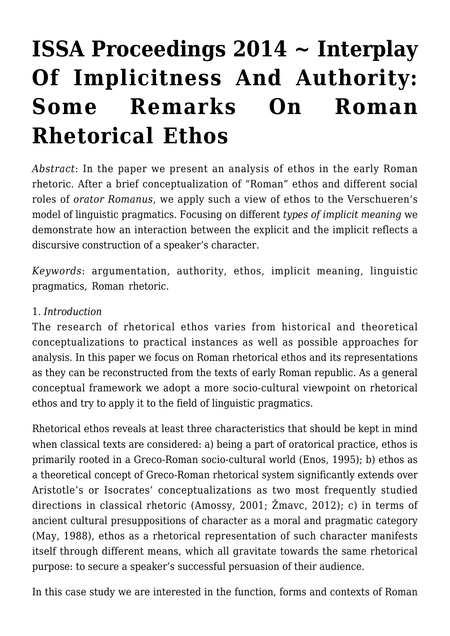# **[ISSA Proceedings 2014 ~ Interplay](https://rozenbergquarterly.com/issa-proceedings-2014-interplay-of-implicitness-and-authority-some-remarks-on-roman-rhetorical-ethos/) [Of Implicitness And Authority:](https://rozenbergquarterly.com/issa-proceedings-2014-interplay-of-implicitness-and-authority-some-remarks-on-roman-rhetorical-ethos/) [Some Remarks On Roman](https://rozenbergquarterly.com/issa-proceedings-2014-interplay-of-implicitness-and-authority-some-remarks-on-roman-rhetorical-ethos/) [Rhetorical Ethos](https://rozenbergquarterly.com/issa-proceedings-2014-interplay-of-implicitness-and-authority-some-remarks-on-roman-rhetorical-ethos/)**

*Abstract*: In the paper we present an analysis of ethos in the early Roman rhetoric. After a brief conceptualization of "Roman" ethos and different social roles of *orator Romanus*, we apply such a view of ethos to the Verschueren's model of linguistic pragmatics. Focusing on different *types of implicit meaning* we demonstrate how an interaction between the explicit and the implicit reflects a discursive construction of a speaker's character.

*Keywords*: argumentation, authority, ethos, implicit meaning, linguistic pragmatics, Roman rhetoric.

#### 1. *Introduction*

The research of rhetorical ethos varies from historical and theoretical conceptualizations to practical instances as well as possible approaches for analysis. In this paper we focus on Roman rhetorical ethos and its representations as they can be reconstructed from the texts of early Roman republic. As a general conceptual framework we adopt a more socio-cultural viewpoint on rhetorical ethos and try to apply it to the field of linguistic pragmatics.

Rhetorical ethos reveals at least three characteristics that should be kept in mind when classical texts are considered: a) being a part of oratorical practice, ethos is primarily rooted in a Greco-Roman socio-cultural world (Enos, 1995); b) ethos as a theoretical concept of Greco-Roman rhetorical system significantly extends over Aristotle's or Isocrates' conceptualizations as two most frequently studied directions in classical rhetoric (Amossy, 2001; Žmavc, 2012); c) in terms of ancient cultural presuppositions of character as a moral and pragmatic category (May, 1988), ethos as a rhetorical representation of such character manifests itself through different means, which all gravitate towards the same rhetorical purpose: to secure a speaker's successful persuasion of their audience.

In this case study we are interested in the function, forms and contexts of Roman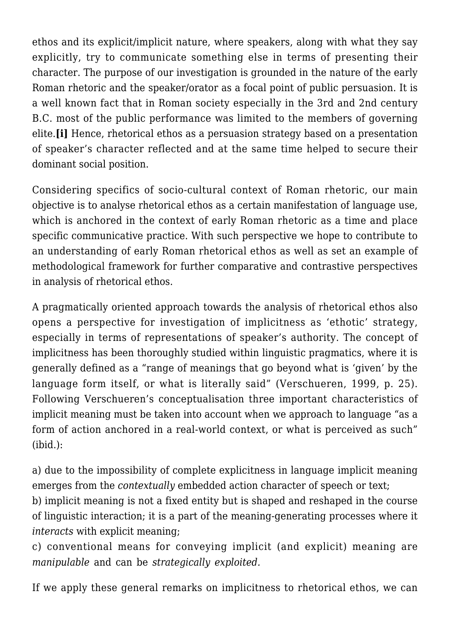ethos and its explicit/implicit nature, where speakers, along with what they say explicitly, try to communicate something else in terms of presenting their character. The purpose of our investigation is grounded in the nature of the early Roman rhetoric and the speaker/orator as a focal point of public persuasion. It is a well known fact that in Roman society especially in the 3rd and 2nd century B.C. most of the public performance was limited to the members of governing elite.**[i]** Hence, rhetorical ethos as a persuasion strategy based on a presentation of speaker's character reflected and at the same time helped to secure their dominant social position.

Considering specifics of socio-cultural context of Roman rhetoric, our main objective is to analyse rhetorical ethos as a certain manifestation of language use, which is anchored in the context of early Roman rhetoric as a time and place specific communicative practice. With such perspective we hope to contribute to an understanding of early Roman rhetorical ethos as well as set an example of methodological framework for further comparative and contrastive perspectives in analysis of rhetorical ethos.

A pragmatically oriented approach towards the analysis of rhetorical ethos also opens a perspective for investigation of implicitness as 'ethotic' strategy, especially in terms of representations of speaker's authority. The concept of implicitness has been thoroughly studied within linguistic pragmatics, where it is generally defined as a "range of meanings that go beyond what is 'given' by the language form itself, or what is literally said" (Verschueren, 1999, p. 25). Following Verschueren's conceptualisation three important characteristics of implicit meaning must be taken into account when we approach to language "as a form of action anchored in a real-world context, or what is perceived as such" (ibid.):

a) due to the impossibility of complete explicitness in language implicit meaning emerges from the *contextually* embedded action character of speech or text;

b) implicit meaning is not a fixed entity but is shaped and reshaped in the course of linguistic interaction; it is a part of the meaning-generating processes where it *interacts* with explicit meaning;

c) conventional means for conveying implicit (and explicit) meaning are *manipulable* and can be *strategically exploited.*

If we apply these general remarks on implicitness to rhetorical ethos, we can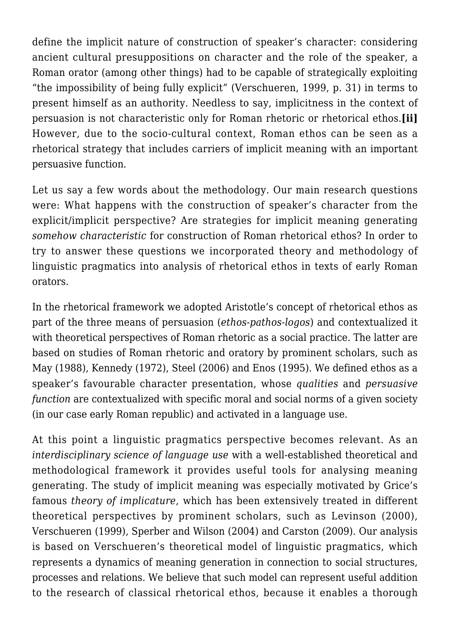define the implicit nature of construction of speaker's character: considering ancient cultural presuppositions on character and the role of the speaker, a Roman orator (among other things) had to be capable of strategically exploiting "the impossibility of being fully explicit" (Verschueren, 1999, p. 31) in terms to present himself as an authority. Needless to say, implicitness in the context of persuasion is not characteristic only for Roman rhetoric or rhetorical ethos.**[ii]** However, due to the socio-cultural context, Roman ethos can be seen as a rhetorical strategy that includes carriers of implicit meaning with an important persuasive function.

Let us say a few words about the methodology. Our main research questions were: What happens with the construction of speaker's character from the explicit/implicit perspective? Are strategies for implicit meaning generating *somehow characteristic* for construction of Roman rhetorical ethos? In order to try to answer these questions we incorporated theory and methodology of linguistic pragmatics into analysis of rhetorical ethos in texts of early Roman orators.

In the rhetorical framework we adopted Aristotle's concept of rhetorical ethos as part of the three means of persuasion (*ethos-pathos-logos*) and contextualized it with theoretical perspectives of Roman rhetoric as a social practice. The latter are based on studies of Roman rhetoric and oratory by prominent scholars, such as May (1988), Kennedy (1972), Steel (2006) and Enos (1995). We defined ethos as a speaker's favourable character presentation, whose *qualities* and *persuasive function* are contextualized with specific moral and social norms of a given society (in our case early Roman republic) and activated in a language use.

At this point a linguistic pragmatics perspective becomes relevant. As an *interdisciplinary science of language use* with a well-established theoretical and methodological framework it provides useful tools for analysing meaning generating. The study of implicit meaning was especially motivated by Grice's famous *theory of implicature*, which has been extensively treated in different theoretical perspectives by prominent scholars, such as Levinson (2000), Verschueren (1999), Sperber and Wilson (2004) and Carston (2009). Our analysis is based on Verschueren's theoretical model of linguistic pragmatics, which represents a dynamics of meaning generation in connection to social structures, processes and relations. We believe that such model can represent useful addition to the research of classical rhetorical ethos, because it enables a thorough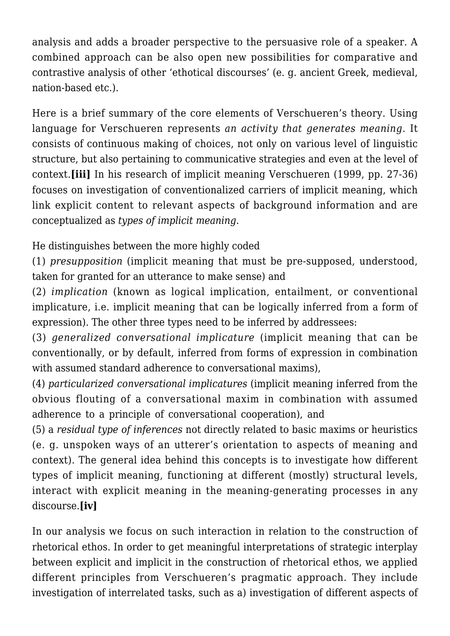analysis and adds a broader perspective to the persuasive role of a speaker. A combined approach can be also open new possibilities for comparative and contrastive analysis of other 'ethotical discourses' (e. g. ancient Greek, medieval, nation-based etc.).

Here is a brief summary of the core elements of Verschueren's theory. Using language for Verschueren represents *an activity that generates meaning.* It consists of continuous making of choices, not only on various level of linguistic structure, but also pertaining to communicative strategies and even at the level of context.**[iii]** In his research of implicit meaning Verschueren (1999, pp. 27-36) focuses on investigation of conventionalized carriers of implicit meaning, which link explicit content to relevant aspects of background information and are conceptualized as *types of implicit meaning*.

He distinguishes between the more highly coded

(1) *presupposition* (implicit meaning that must be pre-supposed, understood, taken for granted for an utterance to make sense) and

(2) *implication* (known as logical implication, entailment, or conventional implicature, i.e. implicit meaning that can be logically inferred from a form of expression). The other three types need to be inferred by addressees:

(3) *generalized conversational implicature* (implicit meaning that can be conventionally, or by default, inferred from forms of expression in combination with assumed standard adherence to conversational maxims),

(4) *particularized conversational implicatures* (implicit meaning inferred from the obvious flouting of a conversational maxim in combination with assumed adherence to a principle of conversational cooperation), and

(5) a *residual type of inferences* not directly related to basic maxims or heuristics (e. g. unspoken ways of an utterer's orientation to aspects of meaning and context). The general idea behind this concepts is to investigate how different types of implicit meaning, functioning at different (mostly) structural levels, interact with explicit meaning in the meaning-generating processes in any discourse.**[iv]**

In our analysis we focus on such interaction in relation to the construction of rhetorical ethos. In order to get meaningful interpretations of strategic interplay between explicit and implicit in the construction of rhetorical ethos, we applied different principles from Verschueren's pragmatic approach. They include investigation of interrelated tasks, such as a) investigation of different aspects of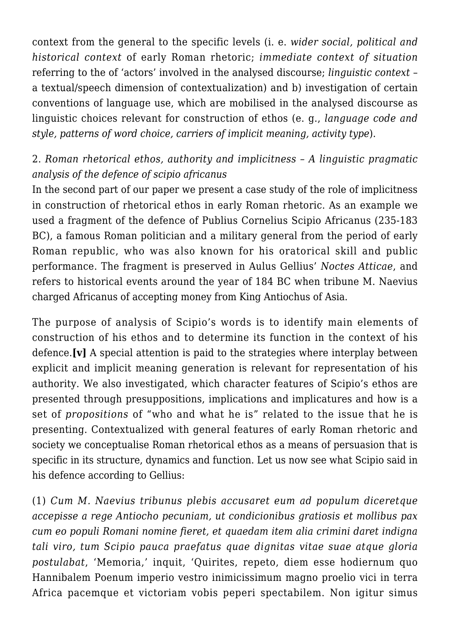context from the general to the specific levels (i. e. *wider social, political and historical context* of early Roman rhetoric; *immediate context of situation* referring to the of 'actors' involved in the analysed discourse; *linguistic context* – a textual/speech dimension of contextualization) and b) investigation of certain conventions of language use, which are mobilised in the analysed discourse as linguistic choices relevant for construction of ethos (e. g., *language code and style, patterns of word choice, carriers of implicit meaning, activity type*).

## 2. *Roman rhetorical ethos, authority and implicitness – A linguistic pragmatic analysis of the defence of scipio africanus*

In the second part of our paper we present a case study of the role of implicitness in construction of rhetorical ethos in early Roman rhetoric. As an example we used a fragment of the defence of Publius Cornelius Scipio Africanus (235-183 BC), a famous Roman politician and a military general from the period of early Roman republic, who was also known for his oratorical skill and public performance. The fragment is preserved in Aulus Gellius' *Noctes Atticae*, and refers to historical events around the year of 184 BC when tribune M. Naevius charged Africanus of accepting money from King Antiochus of Asia.

The purpose of analysis of Scipio's words is to identify main elements of construction of his ethos and to determine its function in the context of his defence.**[v]** A special attention is paid to the strategies where interplay between explicit and implicit meaning generation is relevant for representation of his authority. We also investigated, which character features of Scipio's ethos are presented through presuppositions, implications and implicatures and how is a set of *propositions* of "who and what he is" related to the issue that he is presenting. Contextualized with general features of early Roman rhetoric and society we conceptualise Roman rhetorical ethos as a means of persuasion that is specific in its structure, dynamics and function. Let us now see what Scipio said in his defence according to Gellius:

(1) *Cum M. Naevius tribunus plebis accusaret eum ad populum diceretque accepisse a rege Antiocho pecuniam, ut condicionibus gratiosis et mollibus pax cum eo populi Romani nomine fieret, et quaedam item alia crimini daret indigna tali viro, tum Scipio pauca praefatus quae dignitas vitae suae atque gloria postulabat*, 'Memoria,' inquit, 'Quirites, repeto, diem esse hodiernum quo Hannibalem Poenum imperio vestro inimicissimum magno proelio vici in terra Africa pacemque et victoriam vobis peperi spectabilem. Non igitur simus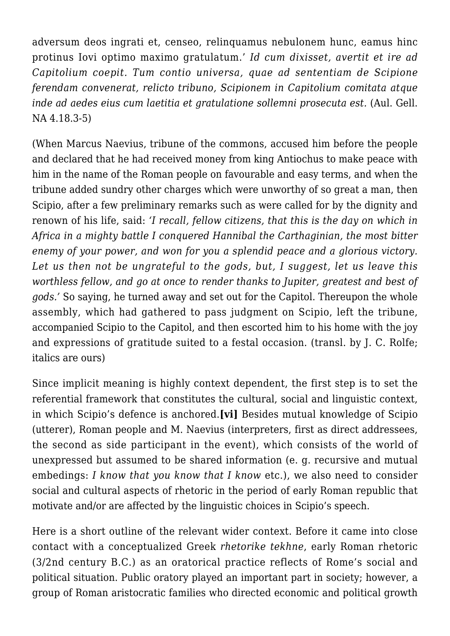adversum deos ingrati et, censeo, relinquamus nebulonem hunc, eamus hinc protinus Iovi optimo maximo gratulatum.' *Id cum dixisset, avertit et ire ad Capitolium coepit. Tum contio universa, quae ad sententiam de Scipione ferendam convenerat, relicto tribuno, Scipionem in Capitolium comitata atque inde ad aedes eius cum laetitia et gratulatione sollemni prosecuta est.* (Aul. Gell. NA 4.18.3-5)

(When Marcus Naevius, tribune of the commons, accused him before the people and declared that he had received money from king Antiochus to make peace with him in the name of the Roman people on favourable and easy terms, and when the tribune added sundry other charges which were unworthy of so great a man, then Scipio, after a few preliminary remarks such as were called for by the dignity and renown of his life, said: *'I recall, fellow citizens, that this is the day on which in Africa in a mighty battle I conquered Hannibal the Carthaginian, the most bitter enemy of your power, and won for you a splendid peace and a glorious victory. Let us then not be ungrateful to the gods, but, I suggest, let us leave this worthless fellow, and go at once to render thanks to Jupiter, greatest and best of gods.'* So saying, he turned away and set out for the Capitol. Thereupon the whole assembly, which had gathered to pass judgment on Scipio, left the tribune, accompanied Scipio to the Capitol, and then escorted him to his home with the joy and expressions of gratitude suited to a festal occasion. (transl. by J. C. Rolfe; italics are ours)

Since implicit meaning is highly context dependent, the first step is to set the referential framework that constitutes the cultural, social and linguistic context, in which Scipio's defence is anchored.**[vi]** Besides mutual knowledge of Scipio (utterer), Roman people and M. Naevius (interpreters, first as direct addressees, the second as side participant in the event), which consists of the world of unexpressed but assumed to be shared information (e. g. recursive and mutual embedings: *I know that you know that I know* etc.), we also need to consider social and cultural aspects of rhetoric in the period of early Roman republic that motivate and/or are affected by the linguistic choices in Scipio's speech.

Here is a short outline of the relevant wider context. Before it came into close contact with a conceptualized Greek *rhetorike tekhne*, early Roman rhetoric (3/2nd century B.C.) as an oratorical practice reflects of Rome's social and political situation. Public oratory played an important part in society; however, a group of Roman aristocratic families who directed economic and political growth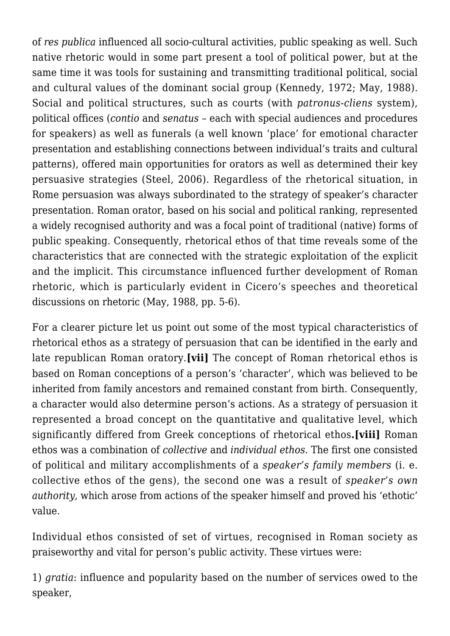of *res publica* influenced all socio-cultural activities, public speaking as well. Such native rhetoric would in some part present a tool of political power, but at the same time it was tools for sustaining and transmitting traditional political, social and cultural values of the dominant social group (Kennedy, 1972; May, 1988). Social and political structures, such as courts (with *patronus-cliens* system), political offices (*contio* and *senatus* – each with special audiences and procedures for speakers) as well as funerals (a well known 'place' for emotional character presentation and establishing connections between individual's traits and cultural patterns), offered main opportunities for orators as well as determined their key persuasive strategies (Steel, 2006). Regardless of the rhetorical situation, in Rome persuasion was always subordinated to the strategy of speaker's character presentation. Roman orator, based on his social and political ranking, represented a widely recognised authority and was a focal point of traditional (native) forms of public speaking. Consequently, rhetorical ethos of that time reveals some of the characteristics that are connected with the strategic exploitation of the explicit and the implicit. This circumstance influenced further development of Roman rhetoric, which is particularly evident in Cicero's speeches and theoretical discussions on rhetoric (May, 1988, pp. 5-6).

For a clearer picture let us point out some of the most typical characteristics of rhetorical ethos as a strategy of persuasion that can be identified in the early and late republican Roman oratory.**[vii]** The concept of Roman rhetorical ethos is based on Roman conceptions of a person's 'character', which was believed to be inherited from family ancestors and remained constant from birth. Consequently, a character would also determine person's actions. As a strategy of persuasion it represented a broad concept on the quantitative and qualitative level, which significantly differed from Greek conceptions of rhetorical ethos**.[viii]** Roman ethos was a combination of *collective* and *individual ethos*. The first one consisted of political and military accomplishments of a *speaker's family members* (i. e. collective ethos of the gens), the second one was a result of *speaker's own authority,* which arose from actions of the speaker himself and proved his 'ethotic' value.

Individual ethos consisted of set of virtues, recognised in Roman society as praiseworthy and vital for person's public activity. These virtues were:

1) *gratia*: influence and popularity based on the number of services owed to the speaker,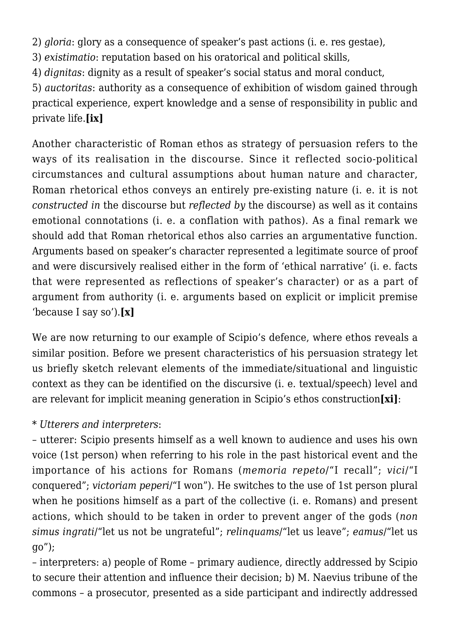2) *gloria*: glory as a consequence of speaker's past actions (i. e. res gestae),

3) *existimatio*: reputation based on his oratorical and political skills,

4) *dignitas*: dignity as a result of speaker's social status and moral conduct,

5) *auctoritas*: authority as a consequence of exhibition of wisdom gained through practical experience, expert knowledge and a sense of responsibility in public and private life.**[ix]**

Another characteristic of Roman ethos as strategy of persuasion refers to the ways of its realisation in the discourse. Since it reflected socio-political circumstances and cultural assumptions about human nature and character, Roman rhetorical ethos conveys an entirely pre-existing nature (i. e. it is not *constructed in* the discourse but *reflected by* the discourse) as well as it contains emotional connotations (i. e. a conflation with pathos). As a final remark we should add that Roman rhetorical ethos also carries an argumentative function. Arguments based on speaker's character represented a legitimate source of proof and were discursively realised either in the form of 'ethical narrative' (i. e. facts that were represented as reflections of speaker's character) or as a part of argument from authority (i. e. arguments based on explicit or implicit premise 'because I say so').**[x]**

We are now returning to our example of Scipio's defence, where ethos reveals a similar position. Before we present characteristics of his persuasion strategy let us briefly sketch relevant elements of the immediate/situational and linguistic context as they can be identified on the discursive (i. e. textual/speech) level and are relevant for implicit meaning generation in Scipio's ethos construction**[xi]**:

#### \* *Utterers and interpreters*:

– utterer: Scipio presents himself as a well known to audience and uses his own voice (1st person) when referring to his role in the past historical event and the importance of his actions for Romans (*memoria repeto*/"I recall"; *vici*/"I conquered"; *victoriam peperi*/"I won"). He switches to the use of 1st person plural when he positions himself as a part of the collective (i. e. Romans) and present actions, which should to be taken in order to prevent anger of the gods (*non simus ingrati*/"let us not be ungrateful"; *relinquams*/"let us leave"; *eamus*/"let us go");

– interpreters: a) people of Rome – primary audience, directly addressed by Scipio to secure their attention and influence their decision; b) M. Naevius tribune of the commons – a prosecutor, presented as a side participant and indirectly addressed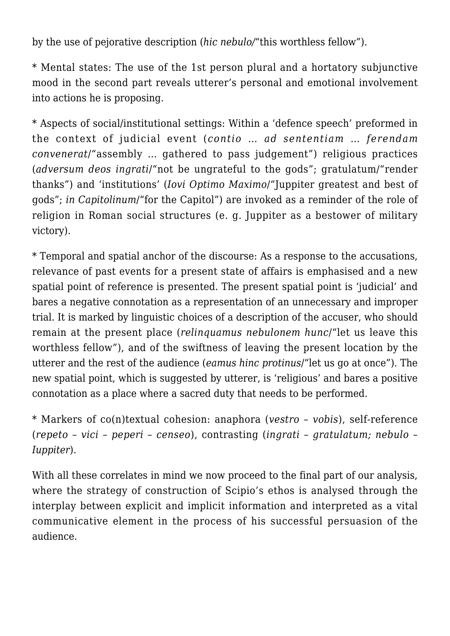by the use of pejorative description (*hic nebulo/*"this worthless fellow").

\* Mental states: The use of the 1st person plural and a hortatory subjunctive mood in the second part reveals utterer's personal and emotional involvement into actions he is proposing.

\* Aspects of social/institutional settings: Within a 'defence speech' preformed in the context of judicial event (*contio … ad sententiam … ferendam convenerat*/"assembly … gathered to pass judgement") religious practices (*adversum deos ingrati*/"not be ungrateful to the gods"; gratulatum/"render thanks") and 'institutions' (*Iovi Optimo Maximo*/"Juppiter greatest and best of gods"; *in Capitolinum*/"for the Capitol") are invoked as a reminder of the role of religion in Roman social structures (e. g. Juppiter as a bestower of military victory).

\* Temporal and spatial anchor of the discourse: As a response to the accusations, relevance of past events for a present state of affairs is emphasised and a new spatial point of reference is presented. The present spatial point is 'judicial' and bares a negative connotation as a representation of an unnecessary and improper trial. It is marked by linguistic choices of a description of the accuser, who should remain at the present place (*relinquamus nebulonem hunc*/"let us leave this worthless fellow"), and of the swiftness of leaving the present location by the utterer and the rest of the audience (*eamus hinc protinus*/"let us go at once"). The new spatial point, which is suggested by utterer, is 'religious' and bares a positive connotation as a place where a sacred duty that needs to be performed.

\* Markers of co(n)textual cohesion: anaphora (*vestro – vobis*), self-reference (*repeto – vici – peperi – censeo*), contrasting (*ingrati – gratulatum; nebulo – Iuppiter*).

With all these correlates in mind we now proceed to the final part of our analysis, where the strategy of construction of Scipio's ethos is analysed through the interplay between explicit and implicit information and interpreted as a vital communicative element in the process of his successful persuasion of the audience.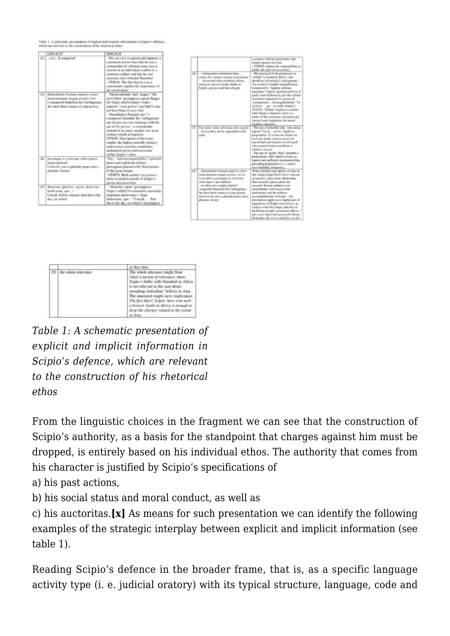Table 1: A schematic presentation of explicit and implicit information in Scipio's definite, which are relevant to the construction of his sheroical ethos.

|     | <b>FXPLICTE</b>                                                                                                                                        | <b>IMPLICTE</b>                                                                                                                                                                                                                                                                                                                                                                                                                                                                                                                                                                                                  |
|-----|--------------------------------------------------------------------------------------------------------------------------------------------------------|------------------------------------------------------------------------------------------------------------------------------------------------------------------------------------------------------------------------------------------------------------------------------------------------------------------------------------------------------------------------------------------------------------------------------------------------------------------------------------------------------------------------------------------------------------------------------------------------------------------|
|     | (2)  viciIl casegured                                                                                                                                  | - The ase of a 1st person presupposes a<br>commonly known fact that he was a<br>commander of a Roman army inot a<br>warrior in an individual combat or a<br>common soldier) and that he (not<br>someone else) defeated Hunnibal.<br>- ETHOS: The fact that he was a<br>communder implies the importance of<br>his social status.                                                                                                                                                                                                                                                                                 |
| CST | Hanolholem Poenant imperio ventro<br>inimiciasimum magno proviše vici/<br>I conquered Hannibal the Carthaginian<br>the most bitter enemy of your power | - 'Intractearners' and 'magno'/'the<br>most bitter' preuzppose a great danger<br>for Scipio and Romans ('voitro<br>imperio <sup>1</sup> /'your power') and that it may<br>not have been an easy task.<br>- 'Hannibalern Poenum vici'/'I<br>conquered Hamiltal the Carthaginian'<br>use of para pro zoto (analogy with the<br>use of 1st person-a communiler<br>instead of an army) implies two great<br>military minds justiposed.<br>ETHOS: Description of the event<br>implies the highest possible military<br>achievement and thus establishes<br>undisputed ploris and meteoriter<br>within Scipio's ethos. |
| (4) | pacempae et victoriant nobis peperó<br>inspectablismi<br>I wen for you a splendid peace and a<br>glorious victory                                      | "Pax", "victoria inspectabilis"." splendid<br>peace and a glorious victory'<br>presuppose praiseworthy final actions<br>of the great danger.<br>- ETHOS: Both actions (res gestoc)<br>serve as implicit proofs of Scipio's<br>gloviet and executives.                                                                                                                                                                                                                                                                                                                                                            |
| (3) | Menoria, Quirites, repeto. dien care<br>hodirosum, que !<br>I recall, fellow citizens, that this is the<br>day, on which                               | - 'Memoria repelio' presepposes<br>Segac's ability to stonesber suitonally<br>important ansayersary ("dimm<br>hodierman, quo. . '?'I recall,  that<br>this is the day, on which') and implies                                                                                                                                                                                                                                                                                                                                                                                                                    |

|     |                                                                                                                                                                                                                                                                                                                                 | a contrast with his prosecutor, who<br>clearly ignores that fact.<br>- ETHOS: Implies his responsibility in<br>public life (part of auctoritar).                                                                                                                                                                                                                                                                                                                                                                                                                                         |
|-----|---------------------------------------------------------------------------------------------------------------------------------------------------------------------------------------------------------------------------------------------------------------------------------------------------------------------------------|------------------------------------------------------------------------------------------------------------------------------------------------------------------------------------------------------------------------------------------------------------------------------------------------------------------------------------------------------------------------------------------------------------------------------------------------------------------------------------------------------------------------------------------------------------------------------------------|
| (6) | Falincasimms wellsdowns heavy<br>noma lovi općeno maxino grandenom!<br>Int us leave this worthlow follow.<br>and go at once to reader thanks to<br>Japiter, greatest and best of gods                                                                                                                                           | - The pottward of his prosecutor as<br>'nebulo'/a worthirm fellow, who<br>should be left behind ("relinquences")<br>Tet iss leave ') is oplies insignificance<br>inompared to "luggater optimus<br>maximus" "Jupiter, greatest and best of<br>prels") and unfitness to join the scients.<br>ceremony (repeated lat person pl.<br>'selespanes cama gatalanes?'Int<br>to larre  pr. to render thanks').<br>ETHOS: "Nchulo' implica a contrast<br>with Scipio's character, who is a<br>leader of the ceremony (3st person pl.<br>'nutua's and emphasises his moral<br>qualities (dignitur). |
| (7) | Non igitar sinas adversan doss ingrati<br>A et us then not be suggested a the<br>pods                                                                                                                                                                                                                                           | - The tase of polential salts. 'root stress-<br>ingents"/"Act car  most by" integliers as<br>proposition: To proversity Scipio on<br>needs also might recent an an incr of<br>they known craiged how shattered<br>who granted Science and Rome a<br>ealthery necessit.<br>- The tase of "igitsa"/"then" presents a<br>proposition, with which it occurs as<br>logical and sufficient conclusion from<br>preceding proposition (i. e. victory<br>over Hunnibal and power).                                                                                                                |
| (5) | Harasbulen Poetium importo vector<br>introductionary mapper provides vice in<br>lerra Africa parempse el victoriam<br>mikis paperi spectabilem!<br>in Africa in a mighty battle I<br>conquered Hannibal the Carthaginian.<br>the most hitter ments of your power,<br>and won for you a splendid peace and a<br>glarious victory | With a detailed description of what he<br>did, Seigio tright Eost Orice's menter<br>of quantity, since more information<br>than needed is given about the<br>account Rooms indience was<br>undoubtedly well aware of the<br>anniversary and the military<br>accomplishments of Scipio - the<br>description might carry implicature of<br>importance of Scipio (auctoriter), as<br>well as evoke the danger and fear of<br>the Roman people (emotional effect): 1<br>am a very important person for Rons;<br>Removedbert that terroris stud from you. fully                               |



*Table 1: A schematic presentation of explicit and implicit information in Scipio's defence, which are relevant to the construction of his rhetorical ethos*

From the linguistic choices in the fragment we can see that the construction of Scipio's authority, as a basis for the standpoint that charges against him must be dropped, is entirely based on his individual ethos. The authority that comes from his character is justified by Scipio's specifications of

a) his past actions,

b) his social status and moral conduct, as well as

c) his auctoritas.**[x]** As means for such presentation we can identify the following examples of the strategic interplay between explicit and implicit information (see table 1).

Reading Scipio's defence in the broader frame, that is, as a specific language activity type (i. e. judicial oratory) with its typical structure, language, code and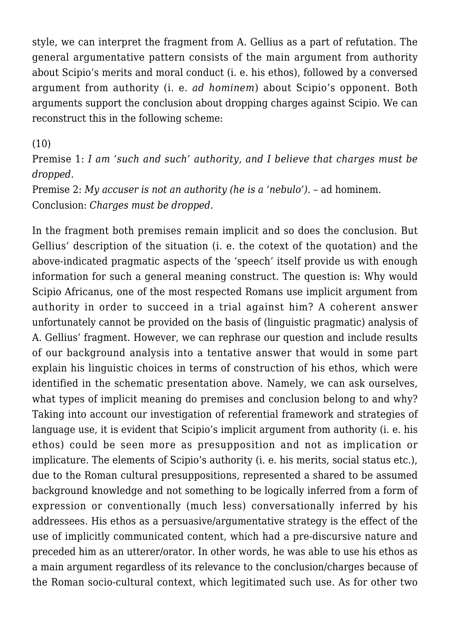style, we can interpret the fragment from A. Gellius as a part of refutation. The general argumentative pattern consists of the main argument from authority about Scipio's merits and moral conduct (i. e. his ethos), followed by a conversed argument from authority (i. e. *ad hominem*) about Scipio's opponent. Both arguments support the conclusion about dropping charges against Scipio. We can reconstruct this in the following scheme:

(10)

Premise 1: *I am 'such and such' authority, and I believe that charges must be dropped.*

Premise 2: *My accuser is not an authority (he is a 'nebulo').* – ad hominem. Conclusion: *Charges must be dropped.*

In the fragment both premises remain implicit and so does the conclusion. But Gellius' description of the situation (i. e. the cotext of the quotation) and the above-indicated pragmatic aspects of the 'speech' itself provide us with enough information for such a general meaning construct. The question is: Why would Scipio Africanus, one of the most respected Romans use implicit argument from authority in order to succeed in a trial against him? A coherent answer unfortunately cannot be provided on the basis of (linguistic pragmatic) analysis of A. Gellius' fragment. However, we can rephrase our question and include results of our background analysis into a tentative answer that would in some part explain his linguistic choices in terms of construction of his ethos, which were identified in the schematic presentation above. Namely, we can ask ourselves, what types of implicit meaning do premises and conclusion belong to and why? Taking into account our investigation of referential framework and strategies of language use, it is evident that Scipio's implicit argument from authority (i. e. his ethos) could be seen more as presupposition and not as implication or implicature. The elements of Scipio's authority (i. e. his merits, social status etc.), due to the Roman cultural presuppositions, represented a shared to be assumed background knowledge and not something to be logically inferred from a form of expression or conventionally (much less) conversationally inferred by his addressees. His ethos as a persuasive/argumentative strategy is the effect of the use of implicitly communicated content, which had a pre-discursive nature and preceded him as an utterer/orator. In other words, he was able to use his ethos as a main argument regardless of its relevance to the conclusion/charges because of the Roman socio-cultural context, which legitimated such use. As for other two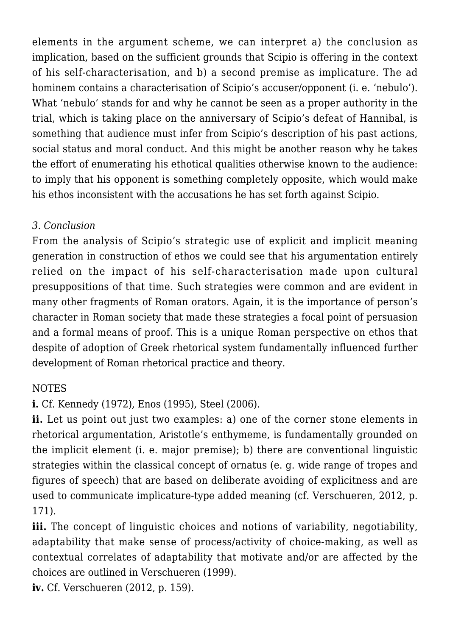elements in the argument scheme, we can interpret a) the conclusion as implication, based on the sufficient grounds that Scipio is offering in the context of his self-characterisation, and b) a second premise as implicature. The ad hominem contains a characterisation of Scipio's accuser/opponent (i. e. 'nebulo'). What 'nebulo' stands for and why he cannot be seen as a proper authority in the trial, which is taking place on the anniversary of Scipio's defeat of Hannibal, is something that audience must infer from Scipio's description of his past actions, social status and moral conduct. And this might be another reason why he takes the effort of enumerating his ethotical qualities otherwise known to the audience: to imply that his opponent is something completely opposite, which would make his ethos inconsistent with the accusations he has set forth against Scipio.

#### *3. Conclusion*

From the analysis of Scipio's strategic use of explicit and implicit meaning generation in construction of ethos we could see that his argumentation entirely relied on the impact of his self-characterisation made upon cultural presuppositions of that time. Such strategies were common and are evident in many other fragments of Roman orators. Again, it is the importance of person's character in Roman society that made these strategies a focal point of persuasion and a formal means of proof. This is a unique Roman perspective on ethos that despite of adoption of Greek rhetorical system fundamentally influenced further development of Roman rhetorical practice and theory.

#### NOTES

**i.** Cf. Kennedy (1972), Enos (1995), Steel (2006).

**ii.** Let us point out just two examples: a) one of the corner stone elements in rhetorical argumentation, Aristotle's enthymeme, is fundamentally grounded on the implicit element (i. e. major premise); b) there are conventional linguistic strategies within the classical concept of ornatus (e. g. wide range of tropes and figures of speech) that are based on deliberate avoiding of explicitness and are used to communicate implicature-type added meaning (cf. Verschueren, 2012, p. 171).

iii. The concept of linguistic choices and notions of variability, negotiability, adaptability that make sense of process/activity of choice-making, as well as contextual correlates of adaptability that motivate and/or are affected by the choices are outlined in Verschueren (1999).

**iv.** Cf. Verschueren (2012, p. 159).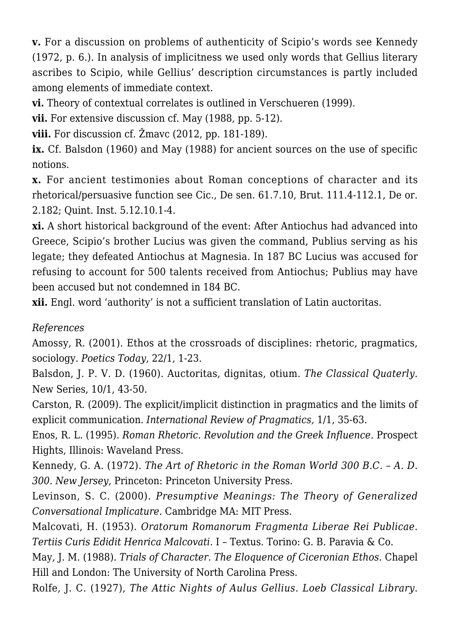**v.** For a discussion on problems of authenticity of Scipio's words see Kennedy (1972, p. 6.). In analysis of implicitness we used only words that Gellius literary ascribes to Scipio, while Gellius' description circumstances is partly included among elements of immediate context.

**vi.** Theory of contextual correlates is outlined in Verschueren (1999).

**vii.** For extensive discussion cf. May (1988, pp. 5-12).

**viii.** For discussion cf. Žmavc (2012, pp. 181-189).

**ix.** Cf. Balsdon (1960) and May (1988) for ancient sources on the use of specific notions.

**x.** For ancient testimonies about Roman conceptions of character and its rhetorical/persuasive function see Cic., De sen. 61.7.10, Brut. 111.4-112.1, De or. 2.182; Quint. Inst. 5.12.10.1-4.

**xi.** A short historical background of the event: After Antiochus had advanced into Greece, Scipio's brother Lucius was given the command, Publius serving as his legate; they defeated Antiochus at Magnesia. In 187 BC Lucius was accused for refusing to account for 500 talents received from Antiochus; Publius may have been accused but not condemned in 184 BC.

**xii.** Engl. word 'authority' is not a sufficient translation of Latin auctoritas.

### *References*

Amossy, R. (2001). Ethos at the crossroads of disciplines: rhetoric, pragmatics, sociology. *Poetics Today*, 22/1, 1-23.

Balsdon, J. P. V. D. (1960). Auctoritas, dignitas, otium. *The Classical Quaterly.* New Series, 10/1, 43-50.

Carston, R. (2009). The explicit/implicit distinction in pragmatics and the limits of explicit communication. *International Review of Pragmatics,* 1/1, 35-63.

Enos, R. L. (1995). *Roman Rhetoric. Revolution and the Greek Influence*. Prospect Hights, Illinois: Waveland Press.

Kennedy, G. A. (1972). *The Art of Rhetoric in the Roman World 300 B.C. – A. D. 300. New Jersey,* Princeton: Princeton University Press.

Levinson, S. C. (2000). *Presumptive Meanings: The Theory of Generalized Conversational Implicature.* Cambridge MA: MIT Press.

Malcovati, H. (1953). *Oratorum Romanorum Fragmenta Liberae Rei Publicae. Tertiis Curis Edidit Henrica Malcovati.* I – Textus. Torino: G. B. Paravia & Co.

May, J. M. (1988). *Trials of Character. The Eloquence of Ciceronian Ethos.* Chapel Hill and London: The University of North Carolina Press.

Rolfe, J. C. (1927), *The Attic Nights of Aulus Gellius. Loeb Classical Library*.